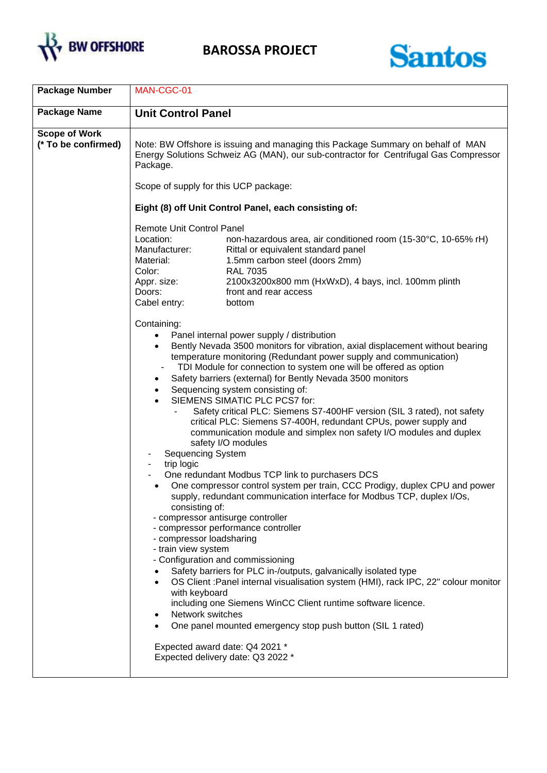



| Note: BW Offshore is issuing and managing this Package Summary on behalf of MAN<br>Energy Solutions Schweiz AG (MAN), our sub-contractor for Centrifugal Gas Compressor                                                                                                                                                                                                                                                                                                                                                                          |
|--------------------------------------------------------------------------------------------------------------------------------------------------------------------------------------------------------------------------------------------------------------------------------------------------------------------------------------------------------------------------------------------------------------------------------------------------------------------------------------------------------------------------------------------------|
|                                                                                                                                                                                                                                                                                                                                                                                                                                                                                                                                                  |
| non-hazardous area, air conditioned room (15-30°C, 10-65% rH)                                                                                                                                                                                                                                                                                                                                                                                                                                                                                    |
| Bently Nevada 3500 monitors for vibration, axial displacement without bearing<br>Safety critical PLC: Siemens S7-400HF version (SIL 3 rated), not safety<br>critical PLC: Siemens S7-400H, redundant CPUs, power supply and<br>communication module and simplex non safety I/O modules and duplex<br>One compressor control system per train, CCC Prodigy, duplex CPU and power<br>supply, redundant communication interface for Modbus TCP, duplex I/Os,<br>OS Client : Panel internal visualisation system (HMI), rack IPC, 22" colour monitor |
| 2100x3200x800 mm (HxWxD), 4 bays, incl. 100mm plinth                                                                                                                                                                                                                                                                                                                                                                                                                                                                                             |